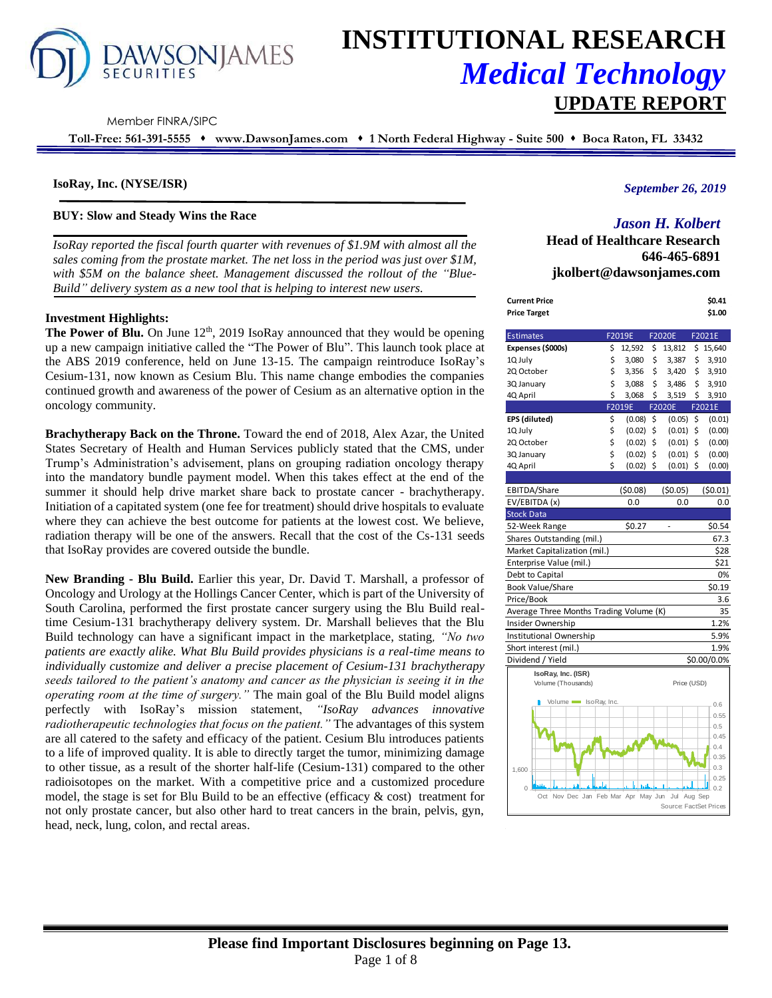

# **INSTITUTIONAL RESEARCH** *Medical Technology* **UPDATE REPORT**

Member FINRA/SIPC

**Toll-Free: 561-391-5555** ⬧ **www.DawsonJames.com** ⬧ **1 North Federal Highway - Suite 500** ⬧ **Boca Raton, FL 33432**

## **IsoRay, Inc. (NYSE/ISR)**

## **BUY: Slow and Steady Wins the Race**

*IsoRay reported the fiscal fourth quarter with revenues of \$1.9M with almost all the sales coming from the prostate market. The net loss in the period was just over \$1M, with \$5M on the balance sheet. Management discussed the rollout of the "Blue-Build" delivery system as a new tool that is helping to interest new users.*

#### **Investment Highlights:**

The Power of Blu. On June 12<sup>th</sup>, 2019 IsoRay announced that they would be opening up a new campaign initiative called the "The Power of Blu". This launch took place at the ABS 2019 conference, held on June 13-15. The campaign reintroduce IsoRay's Cesium-131, now known as Cesium Blu. This name change embodies the companies continued growth and awareness of the power of Cesium as an alternative option in the oncology community.

**Brachytherapy Back on the Throne.** Toward the end of 2018, Alex Azar, the United States Secretary of Health and Human Services publicly stated that the CMS, under Trump's Administration's advisement, plans on grouping radiation oncology therapy into the mandatory bundle payment model. When this takes effect at the end of the summer it should help drive market share back to prostate cancer - brachytherapy. Initiation of a capitated system (one fee for treatment) should drive hospitals to evaluate where they can achieve the best outcome for patients at the lowest cost. We believe, radiation therapy will be one of the answers. Recall that the cost of the Cs-131 seeds that IsoRay provides are covered outside the bundle.

**New Branding - Blu Build.** Earlier this year, Dr. David T. Marshall, a professor of Oncology and Urology at the Hollings Cancer Center, which is part of the University of South Carolina, performed the first prostate cancer surgery using the Blu Build realtime Cesium-131 brachytherapy delivery system. Dr. Marshall believes that the Blu Build technology can have a significant impact in the marketplace, stating*, "No two patients are exactly alike. What Blu Build provides physicians is a real-time means to individually customize and deliver a precise placement of Cesium-131 brachytherapy seeds tailored to the patient's anatomy and cancer as the physician is seeing it in the operating room at the time of surgery."* The main goal of the Blu Build model aligns perfectly with IsoRay's mission statement, *"IsoRay advances innovative radiotherapeutic technologies that focus on the patient."* The advantages of this system are all catered to the safety and efficacy of the patient. Cesium Blu introduces patients to a life of improved quality. It is able to directly target the tumor, minimizing damage to other tissue, as a result of the shorter half-life (Cesium-131) compared to the other radioisotopes on the market. With a competitive price and a customized procedure model, the stage is set for Blu Build to be an effective (efficacy  $\&$  cost) treatment for not only prostate cancer, but also other hard to treat cancers in the brain, pelvis, gyn, head, neck, lung, colon, and rectal areas.

## *September 26, 2019*

# *Jason H. Kolbert*

**Head of Healthcare Research 646-465-6891 jkolbert@dawsonjames.com**

| <b>Current Price</b>                     |    |         |         |                        |         | \$0.41      |
|------------------------------------------|----|---------|---------|------------------------|---------|-------------|
| <b>Price Target</b>                      |    |         |         |                        |         | \$1.00      |
|                                          |    |         |         |                        |         |             |
| <b>Estimates</b>                         |    | F2019E  |         | F2020E                 |         | F2021E      |
| Expenses (\$000s)                        | \$ | 12,592  | \$      | 13,812                 | \$      | 15,640      |
| 1Q July                                  | \$ | 3,080   | \$      | 3,387                  | \$      | 3,910       |
| 2Q October                               | \$ | 3,356   | \$      | 3,420                  | \$      | 3,910       |
| 3Q January                               | \$ | 3,088   | \$      | 3,486                  | \$      | 3,910       |
| 4Q April                                 | \$ | 3,068   | \$      | 3,519                  | \$      | 3,910       |
|                                          |    | F2019E  |         | F2020E                 |         | F2021E      |
| EPS (diluted)                            | \$ | (0.08)  | \$      | (0.05)                 | \$      | (0.01)      |
| 1Q July                                  | \$ | (0.02)  | \$      | (0.01)                 | \$      | (0.00)      |
| 2Q October                               | \$ | (0.02)  | \$      | (0.01)                 | \$      | (0.00)      |
| 3Q January                               | \$ | (0.02)  | \$      | (0.01)                 | \$      | (0.00)      |
| 4Q April                                 | Ś  | (0.02)  | \$      | (0.01)                 | \$      | (0.00)      |
|                                          |    |         |         |                        |         |             |
| EBITDA/Share                             |    | (50.08) |         | (50.05)                |         | (50.01)     |
| EV/EBITDA (x)                            |    | 0.0     |         | 0.0                    |         | 0.0         |
| <b>Stock Data</b>                        |    |         |         |                        |         |             |
| 52-Week Range                            |    | \$0.27  |         | ä,                     |         | \$0.54      |
| Shares Outstanding (mil.)                |    |         |         |                        |         | 67.3        |
| Market Capitalization (mil.)             |    |         |         |                        |         | \$28        |
| Enterprise Value (mil.)                  |    |         |         |                        |         | \$21        |
| Debt to Capital                          |    |         |         |                        |         | 0%          |
| <b>Book Value/Share</b>                  |    |         |         |                        |         | \$0.19      |
| Price/Book                               |    |         |         |                        |         | 3.6         |
| Average Three Months Trading Volume (K)  |    |         |         |                        |         | 35          |
| Insider Ownership                        |    |         |         |                        |         | 1.2%        |
| Institutional Ownership                  |    |         |         |                        |         | 5.9%        |
| Short interest (mil.)                    |    |         |         |                        |         | 1.9%        |
| Dividend / Yield                         |    |         |         |                        |         | \$0.00/0.0% |
|                                          |    |         |         |                        |         |             |
| IsoRay, Inc. (ISR)<br>Volume (Thousands) |    |         |         | Price (USD)            |         |             |
|                                          |    |         |         |                        |         |             |
| Volume so Ray, Inc.                      |    |         |         |                        |         | 0.6         |
|                                          |    |         |         |                        |         | 0.55        |
|                                          |    |         |         |                        |         | 0.5         |
|                                          |    |         |         |                        |         | 0.45        |
|                                          |    |         |         |                        |         | 0.4         |
|                                          |    |         |         |                        |         | 0.35        |
| 1,600                                    |    |         |         |                        |         | 0.3         |
| $\Omega$                                 |    |         |         |                        |         | 0.25<br>0.2 |
| Nov Dec Jan Feb Mar Apr<br>Oct           |    |         | May Jun | Jul                    | Aug Sep |             |
|                                          |    |         |         | Source: FactSet Prices |         |             |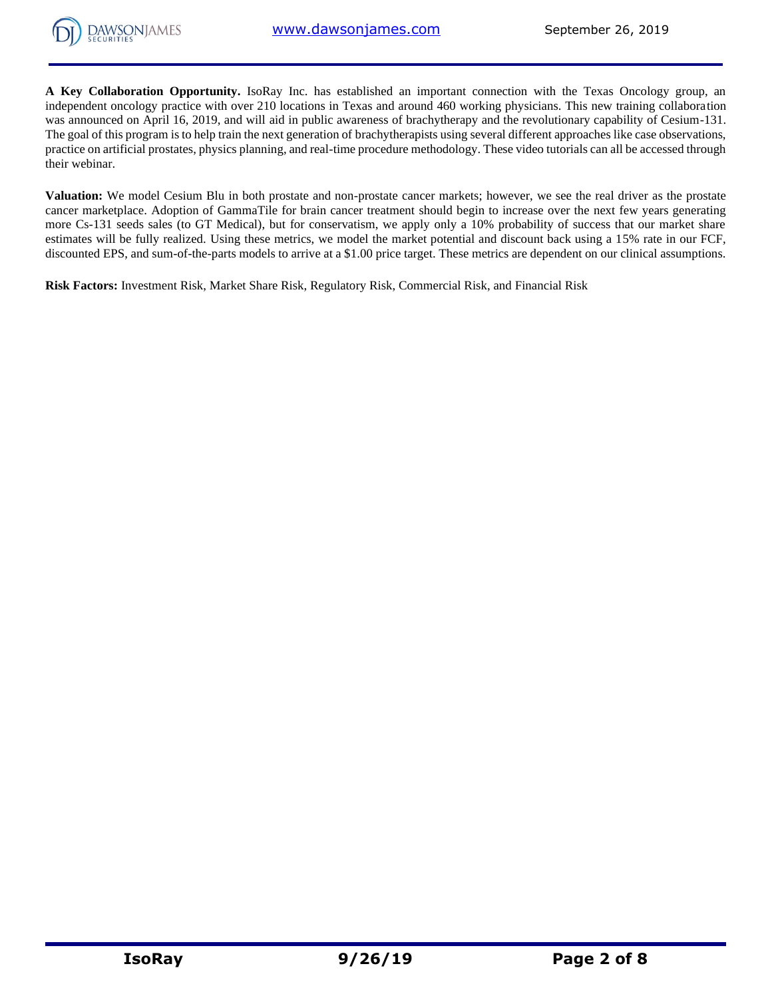

**A Key Collaboration Opportunity.** IsoRay Inc. has established an important connection with the Texas Oncology group, an independent oncology practice with over 210 locations in Texas and around 460 working physicians. This new training collaboration was announced on April 16, 2019, and will aid in public awareness of brachytherapy and the revolutionary capability of Cesium-131. The goal of this program is to help train the next generation of brachytherapists using several different approaches like case observations, practice on artificial prostates, physics planning, and real-time procedure methodology. These video tutorials can all be accessed through their webinar.

**Valuation:** We model Cesium Blu in both prostate and non-prostate cancer markets; however, we see the real driver as the prostate cancer marketplace. Adoption of GammaTile for brain cancer treatment should begin to increase over the next few years generating more Cs-131 seeds sales (to GT Medical), but for conservatism, we apply only a 10% probability of success that our market share estimates will be fully realized. Using these metrics, we model the market potential and discount back using a 15% rate in our FCF, discounted EPS, and sum-of-the-parts models to arrive at a \$1.00 price target. These metrics are dependent on our clinical assumptions.

**Risk Factors:** Investment Risk, Market Share Risk, Regulatory Risk, Commercial Risk, and Financial Risk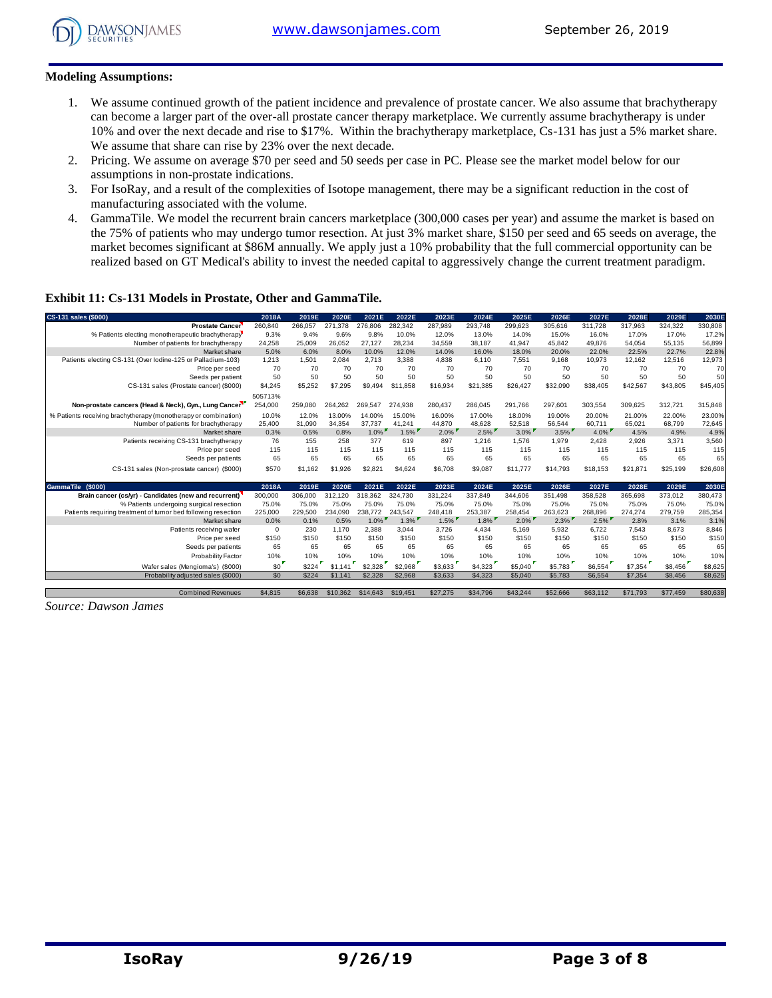

## **Modeling Assumptions:**

- 1. We assume continued growth of the patient incidence and prevalence of prostate cancer. We also assume that brachytherapy can become a larger part of the over-all prostate cancer therapy marketplace. We currently assume brachytherapy is under 10% and over the next decade and rise to \$17%. Within the brachytherapy marketplace, Cs-131 has just a 5% market share. We assume that share can rise by 23% over the next decade.
- 2. Pricing. We assume on average \$70 per seed and 50 seeds per case in PC. Please see the market model below for our assumptions in non-prostate indications.
- 3. For IsoRay, and a result of the complexities of Isotope management, there may be a significant reduction in the cost of manufacturing associated with the volume.
- 4. GammaTile. We model the recurrent brain cancers marketplace (300,000 cases per year) and assume the market is based on the 75% of patients who may undergo tumor resection. At just 3% market share, \$150 per seed and 65 seeds on average, the market becomes significant at \$86M annually. We apply just a 10% probability that the full commercial opportunity can be realized based on GT Medical's ability to invest the needed capital to aggressively change the current treatment paradigm.

## **Exhibit 11: Cs-131 Models in Prostate, Other and GammaTile.**

| CS-131 sales (\$000)                                            | 2018A      | 2019E   | 2020E    | 2021E    | 2022E    | 2023E    | 2024E    | 2025E    | 2026E    | 2027E    | 2028E    | 2029E    | 2030E    |
|-----------------------------------------------------------------|------------|---------|----------|----------|----------|----------|----------|----------|----------|----------|----------|----------|----------|
| <b>Prostate Cancer</b>                                          | 260,840    | 266,057 | 271,378  | 276,806  | 282,342  | 287,989  | 293,748  | 299,623  | 305,616  | 311,728  | 317,963  | 324,322  | 330,808  |
| % Patients electing monotherapeutic brachytherapy               | 9.3%       | 9.4%    | 9.6%     | 9.8%     | 10.0%    | 12.0%    | 13.0%    | 14.0%    | 15.0%    | 16.0%    | 17.0%    | 17.0%    | 17.2%    |
| Number of patients for brachytherapy                            | 24,258     | 25,009  | 26.052   | 27.127   | 28,234   | 34,559   | 38.187   | 41,947   | 45,842   | 49.876   | 54,054   | 55,135   | 56,899   |
| Market share                                                    | 5.0%       | 6.0%    | 8.0%     | 10.0%    | 12.0%    | 14.0%    | 16.0%    | 18.0%    | 20.0%    | 22.0%    | 22.5%    | 22.7%    | 22.8%    |
| Patients electing CS-131 (Over lodine-125 or Palladium-103)     | 1,213      | 1.501   | 2,084    | 2,713    | 3,388    | 4,838    | 6,110    | 7,551    | 9,168    | 10,973   | 12,162   | 12,516   | 12,973   |
| Price per seed                                                  | 70         | 70      | 70       | 70       | 70       | 70       | 70       | 70       | 70       | 70       | 70       | 70       | 70       |
| Seeds per patient                                               | 50         | 50      | 50       | 50       | 50       | 50       | 50       | 50       | 50       | 50       | 50       | 50       | 50       |
| CS-131 sales (Prostate cancer) (\$000)                          | \$4,245    | \$5,252 | \$7,295  | \$9,494  | \$11,858 | \$16,934 | \$21,385 | \$26,427 | \$32,090 | \$38,405 | \$42,567 | \$43,805 | \$45,405 |
|                                                                 | 505713%    |         |          |          |          |          |          |          |          |          |          |          |          |
| Non-prostate cancers (Head & Neck), Gyn., Lung Cancer           | 254,000    | 259.080 | 264,262  | 269.547  | 274,938  | 280,437  | 286,045  | 291.766  | 297,601  | 303,554  | 309,625  | 312.721  | 315,848  |
| % Patients receiving brachytherapy (monotherapy or combination) | 10.0%      | 12.0%   | 13.00%   | 14.00%   | 15.00%   | 16.00%   | 17.00%   | 18.00%   | 19.00%   | 20.00%   | 21.00%   | 22.00%   | 23.00%   |
| Number of patients for brachytherapy                            | 25,400     | 31.090  | 34.354   | 37.737   | 41.241   | 44.870   | 48.628   | 52,518   | 56.544   | 60.711   | 65.021   | 68.799   | 72,645   |
| Market share                                                    | 0.3%       | 0.5%    | 0.8%     | $1.0\%$  | 1.5%     | $2.0\%$  | $2.5\%$  | $3.0\%$  | $3.5\%$  | $4.0\%$  | 4.5%     | 4.9%     | 4.9%     |
| Patients receiving CS-131 brachytherapy                         | 76         | 155     | 258      | 377      | 619      | 897      | 1.216    | 1.576    | 1,979    | 2.428    | 2.926    | 3.371    | 3,560    |
| Price per seed                                                  | 115        | 115     | 115      | 115      | 115      | 115      | 115      | 115      | 115      | 115      | 115      | 115      | 115      |
| Seeds per patients                                              | 65         | 65      | 65       | 65       | 65       | 65       | 65       | 65       | 65       | 65       | 65       | 65       | 65       |
| CS-131 sales (Non-prostate cancer) (\$000)                      | \$570      | \$1.162 | \$1,926  | \$2,821  | \$4,624  | \$6,708  | \$9,087  | \$11,777 | \$14,793 | \$18,153 | \$21.871 | \$25,199 | \$26,608 |
|                                                                 |            |         |          |          |          |          |          |          |          |          |          |          |          |
| (S000)<br><b>GammaTile</b>                                      | 2018A      | 2019E   | 2020E    | 2021E    | 2022E    | 2023E    | 2024E    | 2025E    | 2026E    | 2027E    | 2028E    | 2029E    | 2030E    |
| Brain cancer (cs/yr) - Candidates (new and recurrent)           | 300,000    | 306,000 | 312,120  | 318,362  | 324.730  | 331,224  | 337,849  | 344,606  | 351,498  | 358,528  | 365,698  | 373,012  | 380,473  |
| % Patients undergoing surgical resection                        | 75.0%      | 75.0%   | 75.0%    | 75.0%    | 75.0%    | 75.0%    | 75.0%    | 75.0%    | 75.0%    | 75.0%    | 75.0%    | 75.0%    | 75.0%    |
| Patients requiring treatment of tumor bed following resection   | 225,000    | 229,500 | 234.090  | 238,772  | 243.547  | 248.418  | 253.387  | 258.454  | 263.623  | 268.896  | 274.274  | 279.759  | 285,354  |
| Market share                                                    | 0.0%       | 0.1%    | 0.5%     | $1.0\%$  | $1.3\%$  | $1.5\%$  | $1.8\%$  | $2.0\%$  | $2.3\%$  | $2.5\%$  | 2.8%     | 3.1%     | 3.1%     |
| Patients receiving wafer                                        | $^{\circ}$ | 230     | 1.170    | 2,388    | 3,044    | 3,726    | 4.434    | 5,169    | 5,932    | 6,722    | 7.543    | 8.673    | 8,846    |
| Price per seed                                                  | \$150      | \$150   | \$150    | \$150    | \$150    | \$150    | \$150    | \$150    | \$150    | \$150    | \$150    | \$150    | \$150    |
| Seeds per patients                                              | 65         | 65      | 65       | 65       | 65       | 65       | 65       | 65       | 65       | 65       | 65       | 65       | 65       |
| <b>Probability Factor</b>                                       | 10%        | 10%     | 10%      | 10%      | 10%      | 10%      | 10%      | 10%      | 10%      | 10%      | 10%      | 10%      | 10%      |
| Wafer sales (Mengioma's) (\$000)                                | \$0        | \$224   | \$1,141  | \$2,328  | \$2,968  | \$3,633  | \$4,323  | \$5,040  | \$5,783  | \$6,554  | \$7,354  | \$8,456  | \$8,625  |
| Probability adjusted sales (\$000)                              | \$0        | \$224   | \$1,141  | \$2,328  | \$2,968  | \$3,633  | \$4,323  | \$5,040  | \$5,783  | \$6,554  | \$7,354  | \$8,456  | \$8,625  |
|                                                                 |            |         |          |          |          |          |          |          |          |          |          |          |          |
| <b>Combined Revenues</b>                                        | \$4,815    | \$6,638 | \$10,362 | \$14,643 | \$19,451 | \$27,275 | \$34,796 | \$43,244 | \$52,666 | \$63,112 | \$71,793 | \$77.459 | \$80,638 |

*Source: Dawson James*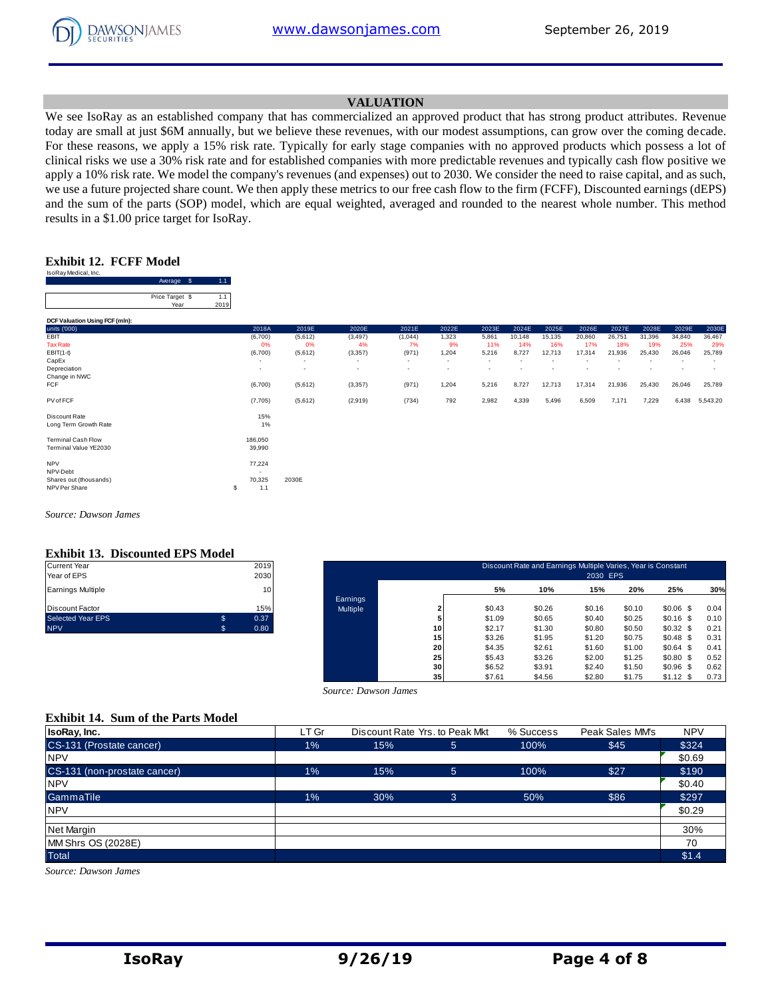

## **VALUATION**

We see IsoRay as an established company that has commercialized an approved product that has strong product attributes. Revenue today are small at just \$6M annually, but we believe these revenues, with our modest assumptions, can grow over the coming decade. For these reasons, we apply a 15% risk rate. Typically for early stage companies with no approved products which possess a lot of clinical risks we use a 30% risk rate and for established companies with more predictable revenues and typically cash flow positive we apply a 10% risk rate. We model the company's revenues (and expenses) out to 2030. We consider the need to raise capital, and as such, we use a future projected share count. We then apply these metrics to our free cash flow to the firm (FCFF), Discounted earnings (dEPS) and the sum of the parts (SOP) model, which are equal weighted, averaged and rounded to the nearest whole number. This method results in a \$1.00 price target for IsoRay.

## **Exhibit 12. FCFF Model**

| IsoRay Medical, Inc.           |                 |                  |                 |
|--------------------------------|-----------------|------------------|-----------------|
|                                | \$<br>Average   | 1.1 <sub>1</sub> |                 |
|                                | Price Target \$ | 1.1              |                 |
|                                | Year            | 2019             |                 |
| DCF Valuation Using FCF (mln): |                 |                  |                 |
| units ('000)                   |                 |                  | 20 <sup>1</sup> |
| EBIT                           |                 |                  | (6,7)           |
| <b>Tax Rate</b>                |                 |                  |                 |
| $EBIT(1-t)$                    |                 |                  | (6,7)           |
| CapEx                          |                 |                  | ٠               |
| Depreciation                   |                 |                  | ۰               |
| Change in NWC                  |                 |                  |                 |
| <b>ECE</b>                     |                 |                  | 167             |

|                                | Average \$              | 1.1         |               |                          |                          |                          |                          |                          |               |               |               |               |               |               |               |
|--------------------------------|-------------------------|-------------|---------------|--------------------------|--------------------------|--------------------------|--------------------------|--------------------------|---------------|---------------|---------------|---------------|---------------|---------------|---------------|
|                                | Price Target \$<br>Year | 1.1<br>2019 |               |                          |                          |                          |                          |                          |               |               |               |               |               |               |               |
| DCF Valuation Using FCF (mln): |                         |             |               |                          |                          |                          |                          |                          |               |               |               |               |               |               |               |
| units ('000)                   |                         |             | 2018A         | 2019E                    | 2020E                    | 2021E                    | 2022E                    | 2023E                    | 2024E         | 2025E         | 2026E         | 2027E         | 2028E         | 2029E         | 2030E         |
| EBIT<br><b>Tax Rate</b>        |                         |             | (6,700)<br>0% | (5,612)<br>0%            | (3, 497)<br>4%           | (1,044)<br>7%            | 1,323<br>9%              | 5,861<br>11%             | 10,148<br>14% | 15,135<br>16% | 20,860<br>17% | 26,751<br>18% | 31,396<br>19% | 34,840<br>25% | 36,467<br>29% |
| $EBIT(1-t)$                    |                         |             | (6,700)       | (5,612)                  | (3, 357)                 | (971)                    | 1,204                    | 5,216                    | 8,727         | 12,713        | 17,314        | 21,936        | 25,430        | 26,046        | 25,789        |
| CapEx                          |                         |             | $\sim$        | $\overline{\phantom{a}}$ | ۰                        | $\overline{\phantom{a}}$ | $\overline{\phantom{a}}$ | $\overline{\phantom{a}}$ |               |               |               |               |               |               |               |
| Depreciation<br>Change in NWC  |                         |             | $\sim$        | $\overline{\phantom{a}}$ | $\overline{\phantom{a}}$ | ٠                        | $\overline{\phantom{a}}$ |                          |               |               |               |               | ٠             |               | ٠             |
| FCF                            |                         |             | (6,700)       | (5,612)                  | (3,357)                  | (971)                    | 1,204                    | 5,216                    | 8,727         | 12,713        | 17,314        | 21,936        | 25,430        | 26,046        | 25,789        |
| PV of FCF                      |                         |             | (7,705)       | (5,612)                  | (2,919)                  | (734)                    | 792                      | 2,982                    | 4,339         | 5,496         | 6,509         | 7,171         | 7,229         | 6,438         | 5,543.20      |
| Discount Rate                  |                         |             | 15%           |                          |                          |                          |                          |                          |               |               |               |               |               |               |               |
| Long Term Growth Rate          |                         |             | 1%            |                          |                          |                          |                          |                          |               |               |               |               |               |               |               |
| <b>Terminal Cash Flow</b>      |                         |             | 186,050       |                          |                          |                          |                          |                          |               |               |               |               |               |               |               |
| Terminal Value YE2030          |                         |             | 39,990        |                          |                          |                          |                          |                          |               |               |               |               |               |               |               |
| <b>NPV</b>                     |                         |             | 77,224        |                          |                          |                          |                          |                          |               |               |               |               |               |               |               |
| NPV-Debt                       |                         |             |               |                          |                          |                          |                          |                          |               |               |               |               |               |               |               |
| Shares out (thousands)         |                         |             | 70,325        | 2030E                    |                          |                          |                          |                          |               |               |               |               |               |               |               |

*Source: Dawson James*

#### **Exhibit 13. Discounted EPS Model**

| <b>Discount Factor</b> | 15%        |
|------------------------|------------|
| Selected Year EPS      | \$<br>0.37 |

shares out (thousands) 70,325 2030E<br>NPV Per Share (thousands) 70,325 2030E NPV Per Share \$ 1.1

| Current Year<br>Year of EPS |                | 2019<br>2030 |          |    |        | Discount Rate and Earnings Multiple Varies, Year is Constant | 2030 EPS |        |             |      |
|-----------------------------|----------------|--------------|----------|----|--------|--------------------------------------------------------------|----------|--------|-------------|------|
| Earnings Multiple           |                | 10           |          |    | 5%     | 10%                                                          | 15%      | 20%    | 25%         | 30%  |
|                             |                |              | Earnings |    |        |                                                              |          |        |             |      |
| Discount Factor             |                | 15%          | Multiple |    | \$0.43 | \$0.26                                                       | \$0.16   | \$0.10 | $$0.06$$ \$ | 0.04 |
| Selected Year EPS           | $\mathfrak{s}$ | 0.37         |          |    | \$1.09 | \$0.65                                                       | \$0.40   | \$0.25 | $$0.16$ \$  | 0.10 |
| <b>NPV</b>                  |                | 0.80         |          | 10 | \$2.17 | \$1.30                                                       | \$0.80   | \$0.50 | $$0.32$$ \$ | 0.21 |
|                             |                |              |          | 15 | \$3.26 | \$1.95                                                       | \$1.20   | \$0.75 | $$0.48$ \$  | 0.31 |
|                             |                |              |          | 20 | \$4.35 | \$2.61                                                       | \$1.60   | \$1.00 | \$0.64\$    | 0.41 |
|                             |                |              |          | 25 | \$5.43 | \$3.26                                                       | \$2.00   | \$1.25 | $$0.80$$ \$ | 0.52 |
|                             |                |              |          | 30 | \$6.52 | \$3.91                                                       | \$2.40   | \$1.50 | $$0.96$ \$  | 0.62 |
|                             |                |              |          | 35 | \$7.61 | \$4.56                                                       | \$2.80   | \$1.75 | $$1.12$ \$  | 0.73 |

#### **Exhibit 14. Sum of the Parts Model**

|                                           |       | Source: Dawson James           | -- 1            | .         | <b>.</b><br>.   | $ -$       |
|-------------------------------------------|-------|--------------------------------|-----------------|-----------|-----------------|------------|
|                                           |       |                                |                 |           |                 |            |
| <b>Exhibit 14. Sum of the Parts Model</b> |       |                                |                 |           |                 |            |
| IsoRay, Inc.                              | LT Gr | Discount Rate Yrs. to Peak Mkt |                 | % Success | Peak Sales MM's | <b>NPV</b> |
| CS-131 (Prostate cancer)                  | $1\%$ | 15%                            | $\sqrt{5}$      | 100%      | \$45            | \$324      |
| <b>NPV</b>                                |       |                                |                 |           |                 | \$0.69     |
| CS-131 (non-prostate cancer)              | 1%    | 15%                            | $5\overline{)}$ | 100%      | \$27            | \$190      |
| <b>NPV</b>                                |       |                                |                 |           |                 | \$0.40     |
| GammaTile                                 | 1%    | 30%                            | 3               | 50%       | \$86            | \$297      |
| <b>NPV</b>                                |       |                                |                 |           |                 | \$0.29     |
| Net Margin                                |       |                                |                 |           |                 | 30%        |
| MM Shrs OS (2028E)                        |       |                                |                 |           |                 | 70         |
| <b>Total</b>                              |       |                                |                 |           |                 | \$1.4      |

*Source: Dawson James*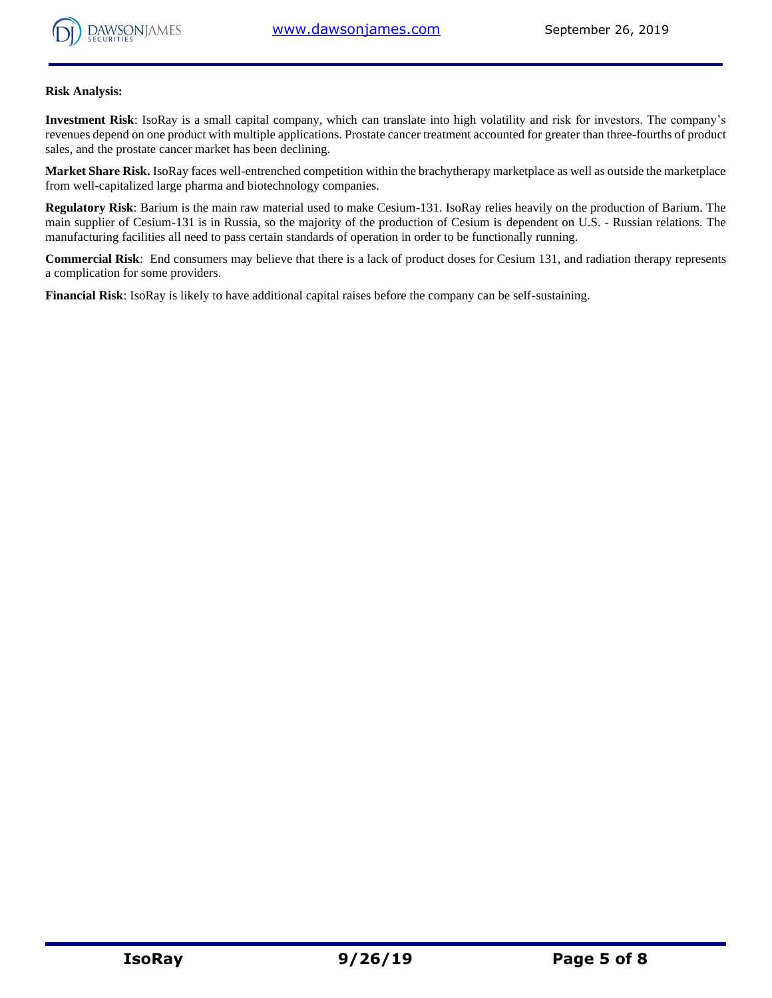

## **Risk Analysis:**

**Investment Risk**: IsoRay is a small capital company, which can translate into high volatility and risk for investors. The company's revenues depend on one product with multiple applications. Prostate cancer treatment accounted for greater than three-fourths of product sales, and the prostate cancer market has been declining.

**Market Share Risk.** IsoRay faces well-entrenched competition within the brachytherapy marketplace as well as outside the marketplace from well-capitalized large pharma and biotechnology companies.

**Regulatory Risk**: Barium is the main raw material used to make Cesium-131. IsoRay relies heavily on the production of Barium. The main supplier of Cesium-131 is in Russia, so the majority of the production of Cesium is dependent on U.S. - Russian relations. The manufacturing facilities all need to pass certain standards of operation in order to be functionally running.

**Commercial Risk**: End consumers may believe that there is a lack of product doses for Cesium 131, and radiation therapy represents a complication for some providers.

**Financial Risk**: IsoRay is likely to have additional capital raises before the company can be self-sustaining.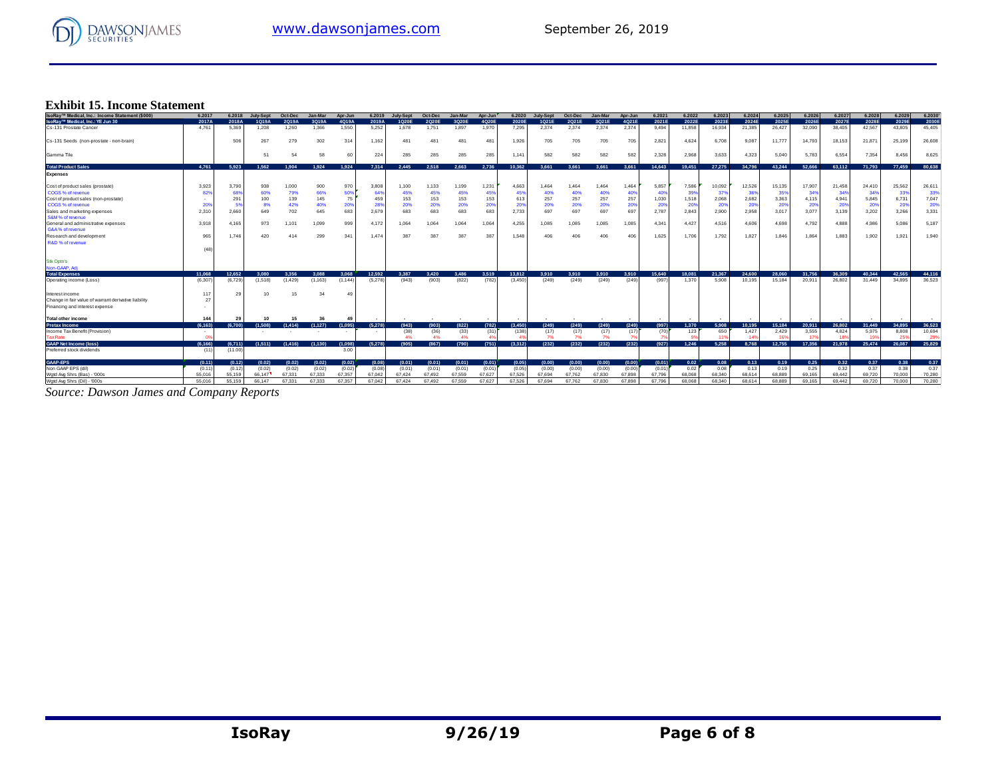

# **Exhibit 15. Income Statement**

| <b>Exhibit 15. Income Statement</b>                  |         |         |           |         |          |           |         |           |         |         |         |         |           |         |         |         |        |        |        |        |        |        |        |        |        |        |
|------------------------------------------------------|---------|---------|-----------|---------|----------|-----------|---------|-----------|---------|---------|---------|---------|-----------|---------|---------|---------|--------|--------|--------|--------|--------|--------|--------|--------|--------|--------|
| IsoRay™ Medical, Inc.: Income Statement (\$000)      | 6.2017  | 6,2018  | July-Sept | Oct-Dec | Jan-Mar  | Apr-Jun   | 6.2019  | July-Sept | Oct-Dec | Jan-Mar | Apr-Jun | 6.2020  | July-Sept | Oct-Dec | Jan-Mar | Apr-Jun | 6.2021 | 6.2022 | 6.2023 | 6.2024 | 6.2025 | 6.2026 | 6.2027 | 6.2028 | 6.2029 | 6.2030 |
| IsoRay™ Medical, Inc.: YE Jun 30                     | 2017A   | 2018A   | 1Q19A     | 2Q19A   | 3Q19A    | 4Q19A     | 2019A   | 1Q20E     | 2Q20E   | 3Q20E   | 4Q20E   | 2020E   | 1Q21E     | 2Q21E   | 3Q21E   | 4Q21E   | 2021E  | 2022E  | 2023E  | 2024E  | 2025E  | 2026E  | 2027E  | 2028E  | 2029E  | 2030E  |
| Cs-131 Prostate Cancer                               | 4.761   | 5,369   | 1,208     | 1,260   | 1,366    | 1,550     | 5,252   | 1,678     | 1,751   | 1,897   | 1,970   | 7,295   | 2.374     | 2,374   | 2,374   | 2,374   | 9,494  | 11,858 | 16,934 | 21,385 | 26,427 | 32,090 | 38,405 | 42,567 | 43,805 | 45,405 |
| Cs-131 Seeds (non-prostate - non-brain)              |         | 506     | 267       | 279     | 302      | 314       | 1,162   | 481       | 481     | 481     | 481     | 1,926   | 705       | 705     | 705     | 705     | 2,821  | 4,624  | 6,708  | 9,087  | 11,777 | 14,793 | 18,153 | 21,871 | 25,199 | 26,608 |
| Gamma Tile                                           |         |         | 51        | 54      | 58       | 60        | 224     | 285       | 285     | 285     | 285     | 1.141   | 582       | 582     | 582     | 582     | 2,328  | 2,968  | 3,633  | 4,323  | 5,040  | 5,783  | 6,554  | 7,354  | 8.456  | 8,625  |
| <b>Total Product Sales</b>                           | 4.761   | 5.923   | 1.562     | 1.904   | 1.924    | 1.924     | 7.314   | 2.445     | 2.518   | 2.663   | 2.736   | 10.362  | 3.661     | 3.661   | 3.661   | 3.661   | 14.643 | 19,451 | 27,275 | 34,796 | 43,244 | 52,666 | 63,112 | 71,793 | 77,459 | 80,638 |
| <b>Expenses</b>                                      |         |         |           |         |          |           |         |           |         |         |         |         |           |         |         |         |        |        |        |        |        |        |        |        |        |        |
| Cost of product sales (prostate)                     | 3,923   | 3,790   | 938       | 1,000   | 900      | 970       | 3,808   | 1,100     | 1,133   | 1,199   | 1,231   | 4,663   | 1,464     | 1,464   | 1,464   | 1,464   | 5,857  | 7,586  | 10,092 | 12,526 | 15,135 | 17,907 | 21,458 | 24,410 | 25,562 | 26,61  |
| COGS % of revenue                                    | 82%     | 68%     | 60%       | 79%     | 66%      | 50%       | 64%     | 45%       | 45%     | 45%     | 45%     | 45%     | 40%       | 40%     | 40%     | 40      | 409    | 39%    | 37%    | 36%    | 35%    | 34'    | 34'    | 349    | 339    | 33%    |
| Cost of product sales (non-prostate)                 |         | 291     | 100       | 139     | 145      | 75        | 459     | 153       | 153     | 153     | 153     | 613     | 257       | 257     | 257     | 257     | 1,030  | 1,518  | 2,068  | 2,682  | 3,363  | 4,115  | 4,941  | 5,845  | 6,731  | 7,047  |
| COGS % of revenue                                    | 20%     |         | 8%        | 42%     | 40%      | 209       | 28%     | 20%       | 20%     | 20%     | 20%     | 20%     | 20%       | 20%     | 20%     | 20%     | 209    | 20%    | 20%    | 20%    | 20%    | 20%    | 20%    | 20%    | 20%    | 20%    |
| Sales and marketing expenses                         | 2.310   | 2.660   | 649       | 702     | 645      | 683       | 2.679   | 683       | 683     | 683     | 683     | 2.733   | 697       | 697     | 697     | 697     | 2.787  | 2,843  | 2.900  | 2,958  | 3.017  | 3.077  | 3.139  | 3,202  | 3.266  | 3,331  |
| S&M% of revenue                                      |         |         |           |         |          |           |         |           |         |         |         |         |           |         |         |         |        |        |        |        |        |        |        |        |        |        |
| General and administrative expenses                  | 3.918   | 4.165   | 973       | 1,101   | 1,099    | 999       | 4.172   | 1.064     | 1,064   | 1,064   | 1,064   | 4,255   | 1,085     | 1.085   | 1,085   | 1,085   | 4.341  | 4,427  | 4,516  | 4,606  | 4,698  | 4,792  | 4.888  | 4,986  | 5.086  | 5,187  |
| G&A % of revenue                                     |         |         |           |         |          |           |         |           |         |         |         |         |           |         |         |         |        |        |        |        |        |        |        |        |        |        |
| Research and development                             | 965     | 1.746   | 420       | 414     | 299      | 341       | 1,474   | 387       | 387     | 387     | 387     | 1.548   | 406       | 406     | 406     | 406     | 1,625  | 1,706  | 1,792  | 1,827  | 1,846  | 1,864  | 1,883  | 1,902  | 1,921  | 1,940  |
| R&D % of revenue                                     |         |         |           |         |          |           |         |           |         |         |         |         |           |         |         |         |        |        |        |        |        |        |        |        |        |        |
|                                                      | (48)    |         |           |         |          |           |         |           |         |         |         |         |           |         |         |         |        |        |        |        |        |        |        |        |        |        |
| <b>Stk Optn's</b>                                    |         |         |           |         |          |           |         |           |         |         |         |         |           |         |         |         |        |        |        |        |        |        |        |        |        |        |
| Non-GAAP, Adi                                        |         |         |           |         |          |           |         |           |         |         |         |         |           |         |         |         |        |        |        |        |        |        |        |        |        |        |
| <b>Total Expenses</b>                                | 11.068  | 12.652  | 3.080     | 3.356   | 3.088    | 3.068     | 12.592  | 3.387     | 3.420   | 3,486   | 3.519   | 13,812  | 3.910     | 3.910   | 3.910   | 3.910   | 15,640 | 18.081 | 21.367 | 24,600 | 28,060 | 31.756 | 36,309 | 40.344 | 42.565 | 44.116 |
| Operating income (Loss)                              | (6.307) | (6.729) | (1,518)   | (1,429) | (1, 163) | (1, 144)  | (5,278) | (943)     | (903)   | (822)   | (782)   | (3.450) | (249)     | (249)   | (249)   | (249)   | (997)  | 1,370  | 5.908  | 10,195 | 15.184 | 20,911 | 26.802 | 31,449 | 34.895 | 36,523 |
| Interest income                                      | 11'     | 29      |           | 15      | 34       | 49        |         |           |         |         |         |         |           |         |         |         |        |        |        |        |        |        |        |        |        |        |
| Change in fair value of warrant derivative liability | 27      |         |           |         |          |           |         |           |         |         |         |         |           |         |         |         |        |        |        |        |        |        |        |        |        |        |
| Financing and interest expense                       |         |         |           |         |          |           |         |           |         |         |         |         |           |         |         |         |        |        |        |        |        |        |        |        |        |        |
| <b>Total other income</b>                            | 144     | 29      | 10        | 15      | 36       | $\Lambda$ |         |           |         |         |         |         |           |         |         |         |        |        |        |        |        |        |        |        |        |        |
| <b>Pretax Income</b>                                 | (6.163) | (6.700) | (1.508)   | (1.414) | (1, 127) | (1,095)   | (5,278) | (943)     | (903)   | (822)   | (782)   | (3.450) | (249)     | (249)   | (249)   | (249)   | (997)  | 1.370  | 5.908  | 10.195 | 15.184 | 20.911 | 26,802 | 31,449 | 34.895 | 36,523 |
| Income Tax Benefit (Provision)                       |         |         |           |         | $\sim$   | $\sim$    | ۰.      | (38)      | (36)    | (33)    | (31)    | (138)   | (17)      | (17)    | (17)    | (17)    | (70)   | 123    | 650    | 1,427  | 2.429  | 3.555  | 4.824  | 5.975  | 8,808  | 10,694 |
| <b>Tax Rate</b>                                      |         |         |           |         |          |           |         | 4%        | 4%      | 4%      |         |         | 7%        |         | 7%      |         |        |        |        | 14'    | 169    | - 45   |        |        |        | 29%    |
| <b>GAAP Net Income (loss)</b>                        | (6.166) | (6,711) | (1.511)   | (1,416) | (1.130)  | (1.098)   | (5.278) | (905)     | (867)   | (790)   | (751)   | (3.312) | (232)     | (232)   | (232)   | (232)   | (927)  | 1.246  | 5.258  | 8.768  | 12.755 | 17.356 | 21.978 | 25,474 | 26,087 | 25,829 |
| Preferred stock dividends                            | (11)    | (11.00) |           |         |          | 3.00      |         |           |         |         |         |         |           |         |         |         |        |        |        |        |        |        |        |        |        |        |
| GAAP-EPS                                             | (0.11)  | (0.12)  | (0.02)    | (0.02)  | (0.02)   | (0.02)    | (0.08)  | (0.01)    | (0.01)  | (0.01)  | (0.01)  | (0.05)  | (0.00)    | (0.00)  | (0.00)  | (0.00)  | (0.01) | 0.02   | 0.08   | 0.13   | 0.19   | 0.25   | 0.32   | 0.37   | 0.38   | 0.37   |
| Non GAAP EPS (dil)                                   | (0.11)  | (0.12)  | (0.02)    | (0.02)  | (0.02)   | (0.02)    | (0.08)  | (0.01)    | (0.01)  | (0.01)  | (0.01)  | (0.05)  | (0.00)    | (0.00)  | (0.00)  | (0.00)  | (0.01) | 0.02   | 0.08   | 0.13   | 0.19   | 0.25   | 0.32   | 0.37   | 0.38   | 0.37   |
| Wgtd Avg Shrs (Bas) - '000s                          | 55.016  | 55.159  | 66.147    | 67.331  | 67.333   | 67.357    | 67.042  | 67.424    | 67.492  | 67.559  | 67.627  | 67.526  | 67.694    | 67.762  | 67,830  | 67,898  | 67.796 | 68,068 | 68,340 | 68,614 | 68,889 | 69.165 | 69.442 | 69.720 | 70,000 | 70,280 |
| Wgtd Avg Shrs (Dil) - '000s                          | 55.016  | 55.159  | 66.147    | 67,331  | 67.333   | 67.357    | 67.042  | 67.424    | 67.492  | 67,559  | 67.627  | 67.526  | 67.694    | 67.762  | 67,830  | 67,898  | 67.796 | 68,068 | 68,340 | 68,614 | 68,889 | 69.165 | 69.442 | 69.720 | 70,000 | 70.280 |

*Source: Dawson James and Company Reports*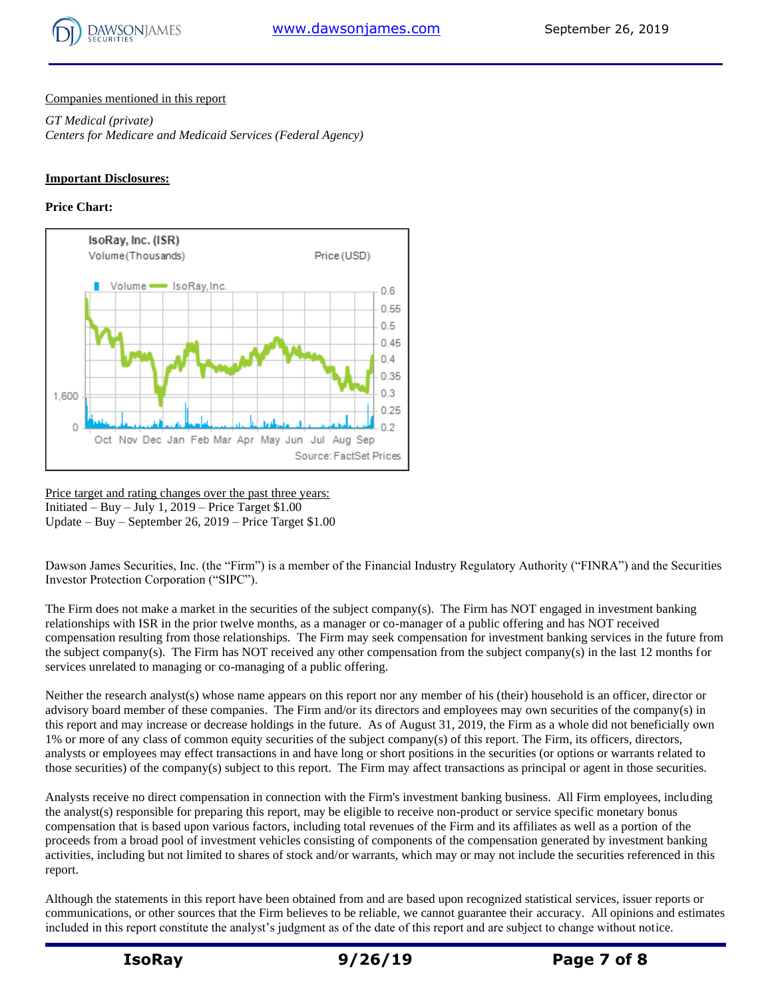

## Companies mentioned in this report

*GT Medical (private) Centers for Medicare and Medicaid Services (Federal Agency)*

## **Important Disclosures:**

## **Price Chart:**



Price target and rating changes over the past three years: Initiated – Buy – July 1, 2019 – Price Target  $$1.00$ Update – Buy – September 26, 2019 – Price Target \$1.00

Dawson James Securities, Inc. (the "Firm") is a member of the Financial Industry Regulatory Authority ("FINRA") and the Securities Investor Protection Corporation ("SIPC").

The Firm does not make a market in the securities of the subject company(s). The Firm has NOT engaged in investment banking relationships with ISR in the prior twelve months, as a manager or co-manager of a public offering and has NOT received compensation resulting from those relationships. The Firm may seek compensation for investment banking services in the future from the subject company(s). The Firm has NOT received any other compensation from the subject company(s) in the last 12 months for services unrelated to managing or co-managing of a public offering.

Neither the research analyst(s) whose name appears on this report nor any member of his (their) household is an officer, director or advisory board member of these companies. The Firm and/or its directors and employees may own securities of the company(s) in this report and may increase or decrease holdings in the future. As of August 31, 2019, the Firm as a whole did not beneficially own 1% or more of any class of common equity securities of the subject company(s) of this report. The Firm, its officers, directors, analysts or employees may effect transactions in and have long or short positions in the securities (or options or warrants related to those securities) of the company(s) subject to this report. The Firm may affect transactions as principal or agent in those securities.

Analysts receive no direct compensation in connection with the Firm's investment banking business. All Firm employees, including the analyst(s) responsible for preparing this report, may be eligible to receive non-product or service specific monetary bonus compensation that is based upon various factors, including total revenues of the Firm and its affiliates as well as a portion of the proceeds from a broad pool of investment vehicles consisting of components of the compensation generated by investment banking activities, including but not limited to shares of stock and/or warrants, which may or may not include the securities referenced in this report.

Although the statements in this report have been obtained from and are based upon recognized statistical services, issuer reports or communications, or other sources that the Firm believes to be reliable, we cannot guarantee their accuracy. All opinions and estimates included in this report constitute the analyst's judgment as of the date of this report and are subject to change without notice.